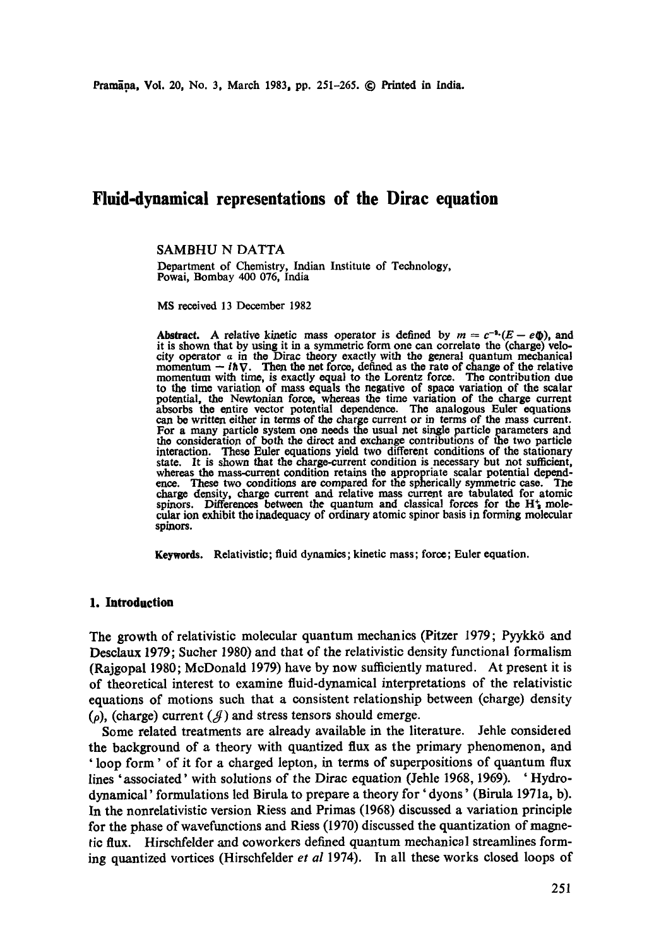# **Fluid-dynamical representations of the Dirac equation**

SAMBHU N DATTA

Department of Chemistry, Indian Institute of Technology, Powai, Bombay 400 076, India

MS received 13 December 1982

**Abstract.** A relative kinetic mass operator is defined by  $m = c^{-a} (E - e\Phi)$ , and it is shown that by using it in a symmetric form one can correlate the (charge) velocity operator  $\alpha$  in the Dirac theory exactly with the general quantum mechanical city operator  $\alpha$  in the Dirac theory exactly with the general quantum mechanical momentum  $-i\hbar \nabla$ . Then the net force, defined as the rate of change of the relative momentum with time, is exactly equal to the Lorentz to the time variation of mass equals the negative of space variation **of the** scalar potential, the Newtonian force, whereas the time variation of the charge current absorbs the entire vector potential dependence. The analogous Euler equations can be written either in terms of the charge current or in terms of the mass current. For a many particle system one needs the usual net single particle parameters and the consideration of both the direct and exchange contributions of the two particle interaction. These Euler equations yield two different conditions of the stationary state. It is shown that the charge-current condition is necessary but not sufficient, whereas the mass-current condition retains the appropriate scalar potential depend-<br>ence. These two conditions are compared for the spherically symmetric case. The ence. These two conditions are compared for the spherically symmetric case. charge density, charge current and relative mass current are tabulated for atomic spinors. Differences between the quantum and classical forces for the  $H_2$  molecular ion exhibit the inadequacy of ordinary atomic spinor basis in forming molecular spinors.

Keywords. Relativistic; fluid dynamics; kinetic mass; force; Euler equation.

#### **1. Introduction**

The growth of relativistic molecular quantum mechanics (Pitzer 1979; Pyykk6 and Desclaux 1979; Sueher 1980) and that of the relativistic density functional formalism (Rajgopal 1980; McDonald 1979) have by now sufficiently matured. At present it is of theoretical interest to examine fluid-dynamical interpretations of the relativistic equations of motions such that a consistent relationship between (charge) density  $(\rho)$ , (charge) current  $(\mathcal{J})$  and stress tensors should emerge.

Some related treatments are already available in the literature. Jehle considered the background of a theory with quantized flux as the primary phenomenon, and ' loop form' of it for a charged lepton, in terms of superpositions of quantum flux lines 'associated' with solutions of the Dirae equation (Jehle 1968, 1969). ' Hydrodynamical' formulations led Birula to prepare a theory for' dyons' (Birula 1971a, b). In the nonrelativistic version Riess and Primas (1968) discussed a variation principle for the phase of waveftmctions and Riess (1970) discussed the quantization of magnetic flux. Hirsehfelder and eoworkers defined quantum mechanical streamlines forming quantized vortices (Hirschfelder *et al* 1974). In all these works closed loops of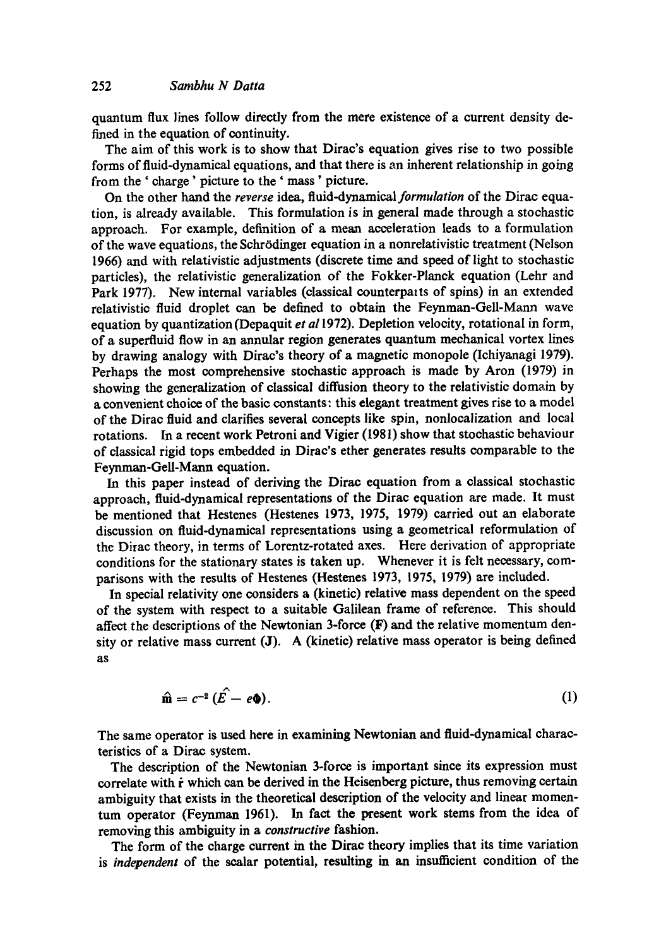quantum flux lines follow directly from the mere existence of a current density defined in the equation of continuity.

The aim of this work is to show that Dirac's equation gives rise to two possible forms of fluid-dynamical equations, and that there is an inherent relationship in going from the ' charge' picture to the ' mass' picture.

On the other hand the *reverse* idea, *fluid-dynamical formulation* of the Dirac equation, is already available. This formulation is in general made through a stochastic approach. For example, definition of a mean acceleration leads to a formulation of the wave equations, the Sohr6dinger equation in a nonrelativistic treatment (Nelson 1966) and with relativistic adjustments (discrete time and speed of light to stochastic particles), the relativistic generalization of the Fokker-Planck equation (Lehr and Park 1977). New internal variables (classical counterparts of spins) in an extended relativistic fluid droplet enn be defined to obtain the Feynman-Gell-Mann wave equation by quantization (Depaquit *et a11972).* Depletion velocity, rotational in form, of a superfluid flow in an annular region generates quantum mechanical vortex lines by drawing analogy with Dirac's theory of a magnetic monopole (Ichiyaaaagi 1979). Perhaps the most comprehensive stochastic approach is made by Aron (1979) in showing the generalization of classical diffusion theory to the relativistic domain by a convenient choice of the basic constants: this elegant treatment gives rise to a model of the Dirac fluid and clarifies several concepts like spin, nonlocalization and local rotations. In a recent work Petroni and Vigier (1981) show that stochastic behaviour of classical rigid tops embedded in Dirae's ether generates results comparable to the Feynrnan-Gell-Mann equation.

In this paper instead of deriving the Dirac equation from a classical stochastic approach, fluid-dynamical representations of the Dirac equation are made. It must be mentioned that Hestenes (Hestenes 1973, 1975, 1979) carried out an elaborate discussion on fluid-dynamical representations using a geometrical reformulation of the Dirae theory, in terms of Lorentz-rotated axes. Here derivation of appropriate conditions for the stationary states is taken up. Whenever it is felt necessary, comparisons with the results of Hestenes (Hestenes 1973, 1975, 1979) are included.

In special relativity one considers a (kinetic) relative mass dependent on the speed of the system with respect to a suitable Galilean frame of reference. This should affect the descriptions of the Newtonian 3-force (F) and the relative momentum density or relative mass current (J). A (kinetic) relative mass operator is being defined as

$$
\hat{\mathbf{m}} = c^{-2} (\hat{E} - e\mathbf{0}). \tag{1}
$$

The same operator is used here in examining Newtonian and fluid-dynamical characteristics of a Dirac system.

The description of the Newtonian 3-force is important since its expression must correlate with  $\dot{r}$  which can be derived in the Heisenberg picture, thus removing certain ambiguity that exists in the theoretical description of the velocity and linear momentum operator (Feynman 1961). In fact the present work stems from the idea of removing this ambiguity in a *constructive* fashion.

The form of the charge current in the Dirac theory implies that its time variation is *independent* of the scalar potential, resulting in an insufficient condition of the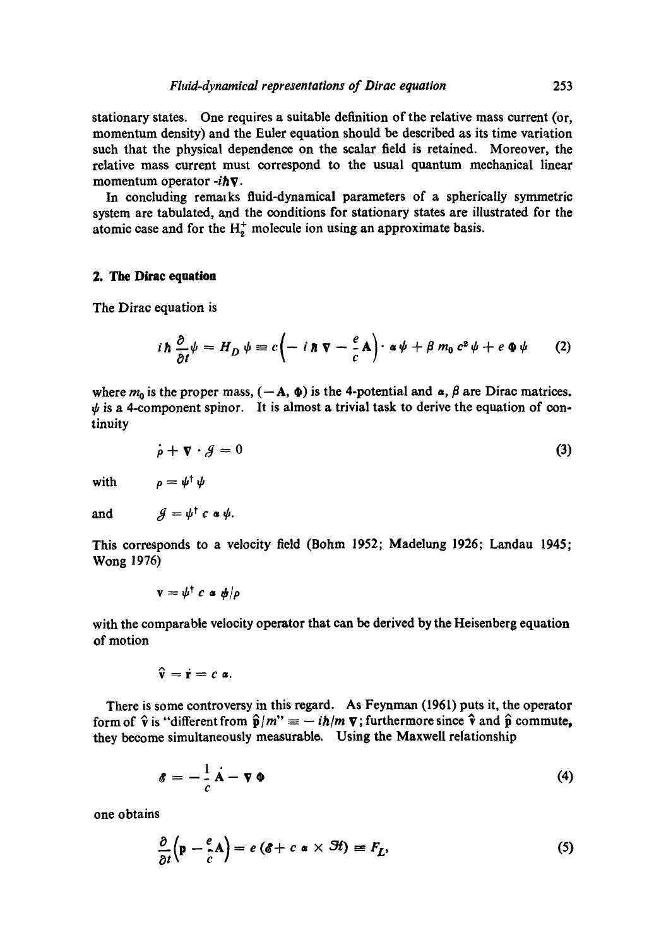stationary states. One requires a suitable definition of the relative mass current (or, momentum density) and the Euler equation should be described as its time variation such that the physical dependence on the scalar field is retained. Moreover, the relative mass current must correspond to the usual quantum mechanical linear momentum operator *-ihV.* 

In concluding remmks fluid-dynamical parameters of a spherically symmetric system are tabulated, and the conditions for stationary states are illustrated for the atomic case and for the  $H_2^+$  molecule ion using an approximate basis.

## **2. The Dirac equation**

The Dirac equation is

$$
i\hbar \frac{\partial}{\partial t} \psi = H_D \psi \equiv c \left( -i \hbar \nabla - \frac{e}{c} \mathbf{A} \right) \cdot \alpha \psi + \beta m_0 c^2 \psi + e \Phi \psi \qquad (2)
$$

where  $m_0$  is the proper mass,  $(-A, \Phi)$  is the 4-potential and  $\alpha$ ,  $\beta$  are Dirac matrices.  $\psi$  is a 4-component spinor. It is almost a trivial task to derive the equation of continuity

$$
\dot{\rho} + \nabla \cdot \mathcal{J} = 0 \tag{3}
$$

with  $\rho = \psi^{\dagger} \psi$ 

and 
$$
\mathcal{J} = \psi^{\dagger} c \cdot \psi.
$$

This corresponds to a velocity field (Bohm 1952; Madelung 1926; Landau 1945; Wong **1976)** 

$$
\mathbf{v} = \mathbf{\psi}^{\dagger} c \mathbf{a} \mathbf{\psi} / \rho
$$

with the comparable velocity operator that can be derived by the Heisenberg equation of motion

$$
\hat{\mathbf{v}} = \dot{\mathbf{r}} = c \mathbf{a}.
$$

There is some controversy in this regard. As Feynman (1961) puts it, the operator form of  $\hat{v}$  is "different from  $\hat{p}/m'' = -i\hbar/m \nabla$ ; furthermore since  $\hat{v}$  and  $\hat{p}$  commute, they become simultaneously measurablo. Using the Maxwell relationship

$$
\mathbf{\delta} = -\frac{1}{c}\dot{\mathbf{A}} - \nabla \Phi \tag{4}
$$

one obtains

$$
\frac{\partial}{\partial t} \left( \mathbf{p} - \frac{e}{c} \mathbf{A} \right) = e \left( \mathbf{\hat{c}} + c \; \mathbf{\hat{a}} \times \mathbf{\hat{H}} \right) \equiv F_L,\tag{5}
$$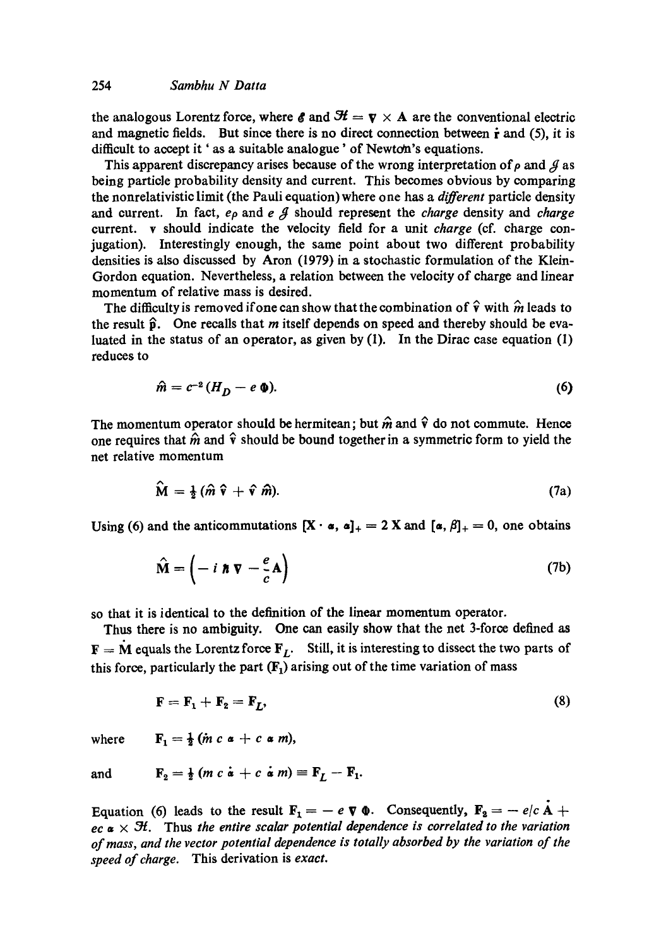the analogous Lorentz force, where  $\mathbf{\mathcal{E}}$  and  $\mathbf{\mathcal{H}} = \mathbf{v} \times \mathbf{A}$  are the conventional electric and magnetic fields. But since there is no direct connection between  $\dot{\mathbf{r}}$  and (5), it is difficult to accept it ' as a suitable analogue' of Newton's equations.

This apparent discrepancy arises because of the wrong interpretation of  $\rho$  and  $\beta$  as being particle probability density and current. This becomes obvious by comparing the nonrelativistic limit (the Pauli equation) where one has a *different* particle density and current. In fact, *ep* and e g should represent the *charge* density and *charge*  current, v should indicate the velocity field for a unit *charge* (cf. charge conjugation). Interestingly enough, the same point about two different probability densities is also discussed by Aron (1979) in a stochastic formulation of the Klein-Gordon equation. Nevertheless, a relation between the velocity of charge and linear momentum of relative mass is desired.

The difficulty is removed if one can show that the combination of  $\hat{v}$  with  $\hat{m}$  leads to the result  $\hat{p}$ . One recalls that m itself depends on speed and thereby should be evaluated in the status of an operator, as given by  $(1)$ . In the Dirac case equation  $(1)$ reduces to

$$
\hat{m} = c^{-2} (H_D - e \, \Phi). \tag{6}
$$

The momentum operator should be hermitean; but  $\hat{m}$  and  $\hat{v}$  do not commute. Hence one requires that  $\hat{m}$  and  $\hat{v}$  should be bound together in a symmetric form to yield the net relative momentum

$$
\widehat{\mathbf{M}} = \frac{1}{2} (\widehat{m} \widehat{\mathbf{v}} + \widehat{\mathbf{v}} \widehat{m}). \tag{7a}
$$

Using (6) and the anticommutations  $[X \cdot \alpha, \alpha]_+ = 2 X$  and  $[\alpha, \beta]_+ = 0$ , one obtains

$$
\hat{\mathbf{M}} = \left( -i \ \mathbf{\hbar} \ \nabla - \frac{e}{c} \mathbf{A} \right) \tag{7b}
$$

so that it is identical to the definition of the linear momentum operator.

Thus there is no ambiguity. One can easily show that the net 3-force defined as  **equals the Lorentz force**  $**F**<sub>L</sub>$ **. Still, it is interesting to dissect the two parts of** this force, particularly the part  $(F_1)$  arising out of the time variation of mass

$$
\mathbf{F} = \mathbf{F}_1 + \mathbf{F}_2 = \mathbf{F}_L,\tag{8}
$$

where  $\mathbf{F}_1 = \frac{1}{2}$  (*m c*  $\alpha + c \alpha$  *m*),

and 
$$
\mathbf{F}_2 = \frac{1}{2} (m c \dot{\mathbf{a}} + c \dot{\mathbf{a}} m) \equiv \mathbf{F}_L - \mathbf{F}_1.
$$

Equation (6) leads to the result  $\mathbf{F}_1 = -e \nabla \Phi$ . Consequently,  $\mathbf{F}_2 = -e/c \mathbf{A} +$  $e\mathbf{c} \cdot \mathbf{a} \times \mathbf{H}$ . Thus *the entire scalar potential dependence is correlated to the variation of mass, and the vector potential dependence is totally absorbed by the variation of the speed of charge.* This derivation is *exact.*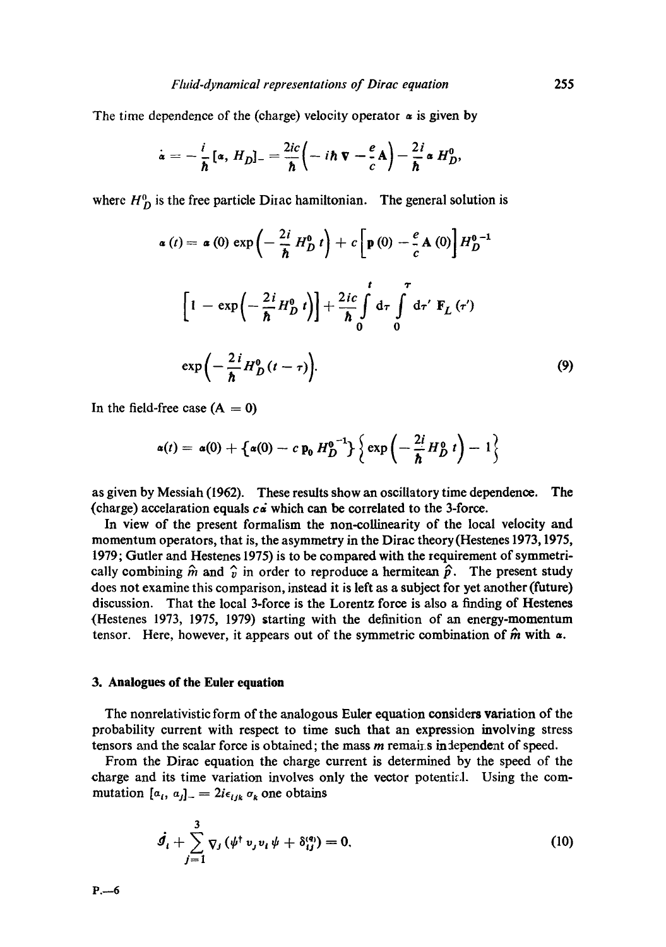The time dependence of the (charge) velocity operator  $\alpha$  is given by

$$
\dot{\mathbf{a}} = -\frac{i}{\hbar} \left[ \mathbf{a}, H_D \right]_{-} = \frac{2ic}{\hbar} \left( -i \hbar \mathbf{v} - \frac{e}{c} \mathbf{A} \right) - \frac{2i}{\hbar} \mathbf{a} H_D^0,
$$

where  $H_D^0$  is the free particle Dirac hamiltonian. The general solution is

$$
\alpha(t) = \alpha(0) \exp\left(-\frac{2i}{\hbar} H_D^0 t\right) + c \left[p(0) - \frac{e}{c} A(0)\right] H_D^{0-1}
$$

$$
\left[1 - \exp\left(-\frac{2i}{\hbar} H_D^0 t\right)\right] + \frac{2ic}{\hbar} \int_0^t d\tau \int_0^{\tau} d\tau' \mathbf{F}_L(\tau')
$$

$$
\exp\left(-\frac{2i}{\hbar} H_D^0(t-\tau)\right).
$$
(9)

In the field-free case  $(A = 0)$ 

$$
\alpha(t) = \alpha(0) + \left\{\alpha(0) - c\,\mathbf{p}_0\,H_D^{0^{-1}}\right\} \left\{\exp\left(-\frac{2i}{\hbar}\,H_D^0\,t\right) - 1\right\}
$$

as given by Messiah (I962). These results show an oscillatory time dependence. The (charge) accelaration equals  $c\dot{a}$  which can be correlated to the 3-force.

In view of the present formalism the non-collinearity of the local velocity and momentum operators, that is, the asymmetry in the Dirac theory (Hestenes 1973, 1975, 1979; Gutler and Hestenes 1975) is to be compared with the requirement of symmetrically combining  $\hat{m}$  and  $\hat{v}$  in order to reproduce a hermitean  $\hat{p}$ . The present study does not examine this comparison, instead it is left as a subject for yet another(future) discussion. That the local 3-force is the Lorentz force is also a finding of Hestenes (Hestenes 1973, 1975, 1979) starting with the definition of an energy-momentum tensor. Here, however, it appears out of the symmetric combination of  $\hat{\boldsymbol{m}}$  with  $\boldsymbol{\alpha}$ .

## **3. Analogues of the Euler equation**

The nonrelativistic form of the analogous Euler equation considers variation of the probability current with respect to time such that an expression involving stress tensors and the scalar force is obtained; the mass  $m$  remains in dependent of speed.

From the Dirac equation the charge current is determined by the speed of the charge and its time variation involves only the vector potential. Using the commutation  $[a_i, a_j]_-=2i\epsilon_{ijk}\sigma_k$  one obtains

$$
\dot{g}_t + \sum_{j=1}^3 \nabla_j (\psi^{\dagger} v_j v_i \psi + \delta_{ij}^{(q)}) = 0.
$$
 (10)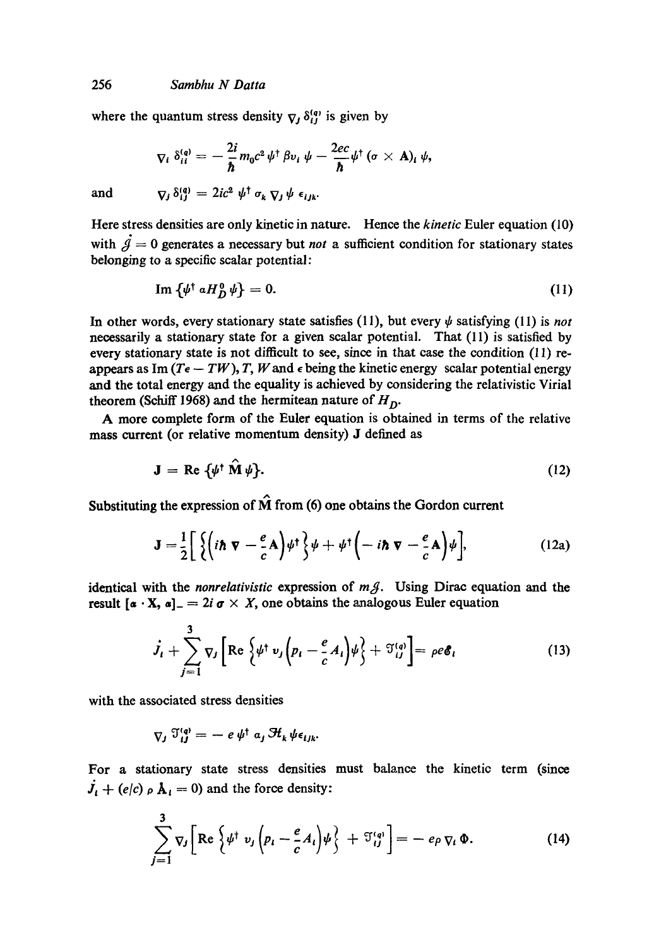where the quantum stress density  $\nabla_l \delta_l^{(q)}$  is given by

$$
\nabla_i \delta_{ii}^{(q)} = -\frac{2i}{\hbar} m_0 c^2 \psi^{\dagger} \beta v_i \psi - \frac{2ec}{\hbar} \psi^{\dagger} (\sigma \times A)_i \psi,
$$
  

$$
\nabla_j \delta_{ij}^{(q)} = 2ic^2 \psi^{\dagger} \sigma_k \nabla_j \psi \epsilon_{ijk}.
$$

and

Here stress densities are only kinetic in nature. Hence the *kinetic* Euler equation (10) with  $\dot{\mathcal{A}} = 0$  generates a necessary but *not* a sufficient condition for stationary states belonging to a specific scalar potential:

$$
\operatorname{Im} \left\{ \psi^{\dagger} \, a H_D^0 \, \psi \right\} = 0. \tag{11}
$$

In other words, every stationary state satisfies (11), but every  $\psi$  satisfying (11) is *not* necessarily a stationary state for a given scalar potential. That (11) is satisfied by every stationary state is not difficult to see, since in that ease the condition (11) reappears as Im  $(T_e - TW)$ , T, W and  $\epsilon$  being the kinetic energy scalar potential energy and the total energy and the equality is achieved by considering the relativistic Virial theorem (Schiff 1968) and the hermitean nature of  $H_D$ .

A more complete form of the Euler equation is obtained in terms of the relative mass current (or relative momentum density) J defined as

$$
\mathbf{J} = \text{Re} \left\{ \psi^{\dagger} \; \hat{\mathbf{M}} \, \psi \right\}. \tag{12}
$$

Substituting the expression of  $\hat{M}$  from (6) one obtains the Gordon current

$$
\mathbf{J} = \frac{1}{2} \left[ \left\{ \left( i\hbar \nabla - \frac{e}{c} \mathbf{A} \right) \psi^{\dagger} \right\} \psi + \psi^{\dagger} \left( -i\hbar \nabla - \frac{e}{c} \mathbf{A} \right) \psi \right], \tag{12a}
$$

identical with the *nonrelativistic* expression of mg. Using Dirac equation and the result  $[a \cdot X, a] = 2i \sigma \times X$ , one obtains the analogous Euler equation

$$
\dot{J}_t + \sum_{j=1}^3 \nabla_j \left[ \text{Re} \left\{ \psi^{\dagger} v_j \left( p_t - \frac{e}{c} A_t \right) \psi \right\} + \mathfrak{I}_{ij}^{(q)} \right] = \rho e \mathfrak{E}_t \tag{13}
$$

with the associated stress densities

$$
\nabla_j \; \mathfrak{I}^{(q)}_{ij} = - e \, \psi^{\dagger} \; a_j \, \mathfrak{H}_k \, \psi \, \epsilon_{ijk}.
$$

For a stationary state stress densities must balance the kinetic term (since  $j_i + (e/c) \rho \mathbf{A}_i = 0$  and the force density:

$$
\sum_{j=1}^{3} \nabla_{j} \left[ \operatorname{Re} \left\{ \psi^{\dagger} \ v_{j} \left( p_{i} - \frac{e}{c} A_{i} \right) \psi \right\} + \mathfrak{I}_{ij}^{(q)} \right] = - e_{\rho} \nabla_{i} \Phi.
$$
 (14)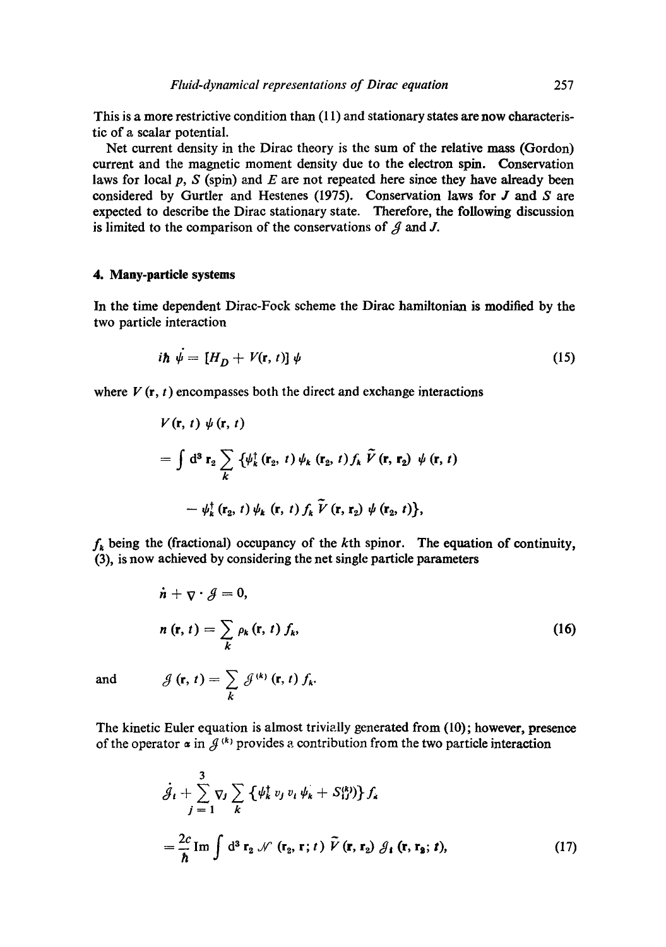This is a more restrictive condition than (11) and stationary states are now characteristic of a scalar potential.

Net current density in the Dirac theory is the sum of the relative mass (Gordon) current and the magnetic moment density due to the electron spin. Conservation laws for local  $p$ , S (spin) and E are not repeated here since they have already been considered by Gurtler and Hestenes (1975). Conservation laws for  $J$  and  $S$  are expected to describe the Dirac stationary state. Therefore, the following discussion is limited to the comparison of the conservations of  $\beta$  and J.

# **4. Many-particle systems**

In the time dependent Dirac-Fock scheme the Dirac hamiltonian is modified by the two particle interaction

$$
i\hbar \psi = [H_D + V(\mathbf{r}, t)] \psi \tag{15}
$$

where  $V(\mathbf{r}, t)$  encompasses both the direct and exchange interactions

$$
V(\mathbf{r}, t) \psi(\mathbf{r}, t)
$$
  
=  $\int d^3 \mathbf{r}_2 \sum_k \{\psi_k^{\dagger}(\mathbf{r}_2, t) \psi_k(\mathbf{r}_2, t) f_k \tilde{V}(\mathbf{r}, \mathbf{r}_2) \psi(\mathbf{r}, t) - \psi_k^{\dagger}(\mathbf{r}_2, t) \psi_k(\mathbf{r}, t) f_k \tilde{V}(\mathbf{r}, \mathbf{r}_2) \psi(\mathbf{r}_2, t) \},$ 

 $f_{k}$  being the (fractional) occupancy of the kth spinor. The equation of continuity, (3), is now achieved by considering the net single particle parameters

$$
\dot{n} + \nabla \cdot \mathcal{J} = 0,
$$
\n
$$
n(\mathbf{r}, t) = \sum_{k} \rho_k(\mathbf{r}, t) f_k,
$$
\n
$$
\text{and} \qquad \mathcal{J}(\mathbf{r}, t) = \sum_{k} \mathcal{J}^{(k)}(\mathbf{r}, t) f_k.
$$
\n
$$
(16)
$$

The kinetic Euler equation is almost trivially generated from (10); however, presence of the operator  $\alpha$  in  $\beta$ <sup>(k)</sup> provides a contribution from the two particle interaction

k

$$
\dot{\mathcal{J}}_t + \sum_{j=1}^3 \nabla_j \sum_k \left\{ \psi_k^{\dagger} v_j v_i \psi_k + S_{ij}^{(k)} \right\} f_k
$$
\n
$$
= \frac{2c}{\hbar} \operatorname{Im} \int d^3 \mathbf{r}_2 \mathcal{N} (\mathbf{r}_2, \mathbf{r}; t) \tilde{V} (\mathbf{r}, \mathbf{r}_2) \mathcal{J}_t (\mathbf{r}, \mathbf{r}_2; t), \qquad (17)
$$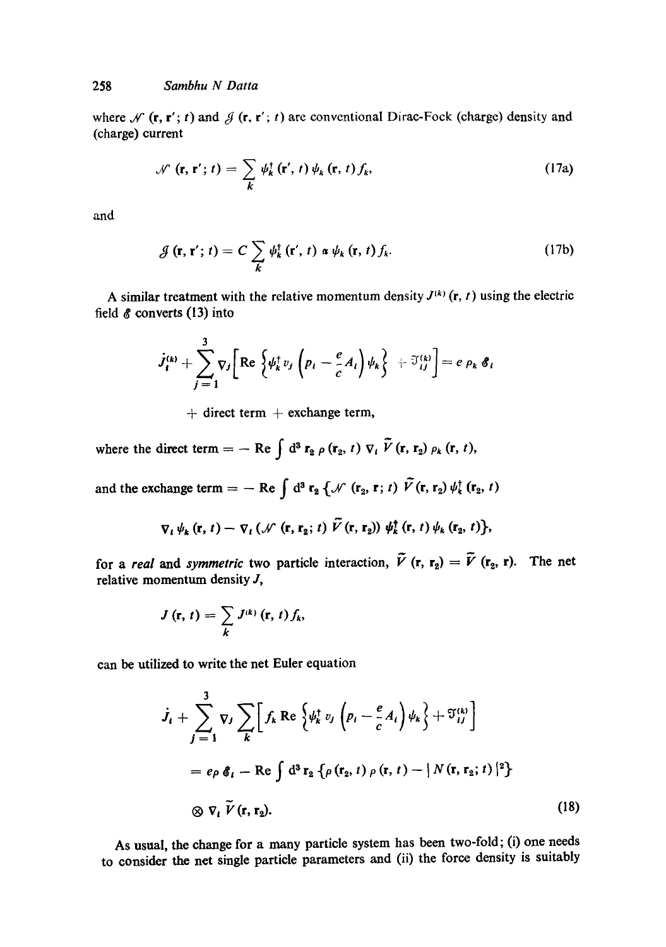where  $\mathcal{N}$  (r, r'; t) and  $\mathcal{J}$  (r, r'; t) are conventional Dirac-Fock (charge) density and (charge) current

$$
\mathcal{N}(\mathbf{r}, \mathbf{r}'; t) = \sum_{k} \psi_k^{\dagger}(\mathbf{r}', t) \psi_k(\mathbf{r}, t) f_k,
$$
 (17a)

and

$$
\mathcal{J}\left(\mathbf{r},\mathbf{r}';t\right)=C\sum_{k}\psi_{k}^{\dagger}\left(\mathbf{r}',t\right)\alpha\psi_{k}\left(\mathbf{r},t\right)f_{k}.
$$
 (17b)

A similar treatment with the relative momentum density  $J^{(k)}$  (r, t) using the electric field  $\&$  converts (13) into

$$
\dot{J}_i^{(k)} + \sum_{j=1}^3 \nabla_j \bigg[ \text{Re} \left\{ \psi_k^{\dagger} v_j \left( p_i - \frac{e}{c} A_i \right) \psi_k \right\} + \mathfrak{I}_{ij}^{(k)} \bigg] = e \, \rho_k \, \mathfrak{G}_i
$$

 $+$  direct term  $+$  exchange term,

where the direct term  $=-\text{ Re }\int d^3\mathbf{r}_2 \rho(\mathbf{r}_2, t) \nabla_i \tilde{V}(\mathbf{r}, \mathbf{r}_2) \rho_k(\mathbf{r}, t),$ 

and the exchange term = -- Re  $\int d^3 r_2 \{ \mathcal{N}(r_2, r; t) \tilde{V}(r, r_2) \psi_k^{\dagger}(r_2, t)$ 

$$
\nabla_t \psi_k(\mathbf{r}, t) - \nabla_t (\mathcal{N}(\mathbf{r}, \mathbf{r}_2; t) \nabla(\mathbf{r}, \mathbf{r}_2)) \psi_k^{\dagger}(\mathbf{r}, t) \psi_k(\mathbf{r}_2, t) \},
$$

for a *real* and *symmetric* two particle interaction, V (**r**, **r**<sub>2</sub>) = V (**r**<sub>2</sub>, **r**). The net relative momentum density J,

$$
J\left(\mathbf{r},\,t\right)=\sum_{k}J^{(k)}\left(\mathbf{r},\,t\right)f_{k},
$$

can be utilized to write the net Euler equation

$$
\dot{J}_t + \sum_{j=1}^3 \nabla_j \sum_k \left[ f_k \operatorname{Re} \left\{ \psi_k^{\dagger} v_j \left( p_i - \frac{e}{c} A_i \right) \psi_k \right\} + \mathfrak{I}_{ij}^{(k)} \right]
$$
\n
$$
= e \rho \mathcal{E}_t - \operatorname{Re} \int d^3 \mathbf{r}_2 \left\{ \rho(\mathbf{r}_2, t) \rho(\mathbf{r}, t) - |N(\mathbf{r}, \mathbf{r}_2; t)|^2 \right\}
$$
\n
$$
\otimes \nabla_t \widetilde{V}(\mathbf{r}, \mathbf{r}_2). \tag{18}
$$

As usual, the change for a many particle system has been two-fold; (i) one needs to consider the net single particle parameters and (ii) the force density is suitably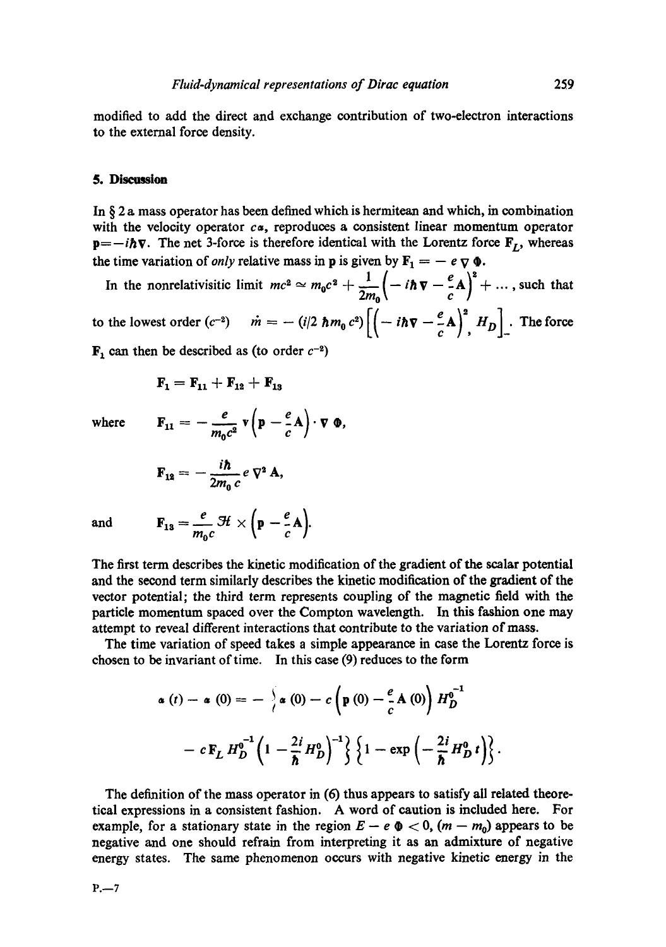modified to add the direct and exchange contribution of two-electron interactions to the external force density.

## **5. Discussion**

In  $\S$  2 a mass operator has been defined which is hermitean and which, in combination with the velocity operator  $c\alpha$ , reproduces a consistent linear momentum operator  $p=-i\hbar\nabla$ . The net 3-force is therefore identical with the Lorentz force  $F_I$ , whereas the time variation of *only* relative mass in **p** is given by  $\mathbf{F}_1 = -e \nabla \Phi$ .

In the nonrelativisitic limit  $mc^2 \simeq m_0 c^2 + \frac{1}{2m_0} \left( -i\hbar \nabla - \frac{e}{c} A \right)^2 + \dots$ , such that to the lowest order  $(c^{-2})$   $\dot{m} = - (i/2 \hbar m_0 c^2) \left[ \left( -i\hbar \nabla - \frac{e}{c} \mathbf{A} \right)^2, H_D \right]$ . The force

 $\mathbf{F}_1$  can then be described as (to order  $c^{-2}$ )

$$
F_1 = F_{11} + F_{12} + F_{13}
$$

**where** 

$$
\mathbf{F}_{11} = -\frac{e}{m_0 c^2} \mathbf{v} \left( \mathbf{p} - \frac{e}{c} \mathbf{A} \right) \cdot \mathbf{v} \mathbf{0},
$$

$$
\mathbf{F}_{12} = -\frac{i\hbar}{2m_0 c} e \nabla^2 \mathbf{A},
$$

 $m_{\scriptstyle 0}c$ 

and  $F_{13} = \frac{1}{2} H \times (p - \Delta)$ 

The first term describes the kinetic modification of the gradient of the scalar potential and the second term similarly describes the kinetic modification of the gradient of the vector potential; the third term represents coupling of the magnetic field with the particle momentum spaced over the Compton wavelength. In this fashion one may attempt to reveal different interactions that contribute to the variation of mass.

The time variation of speed takes a simple appearance in ease the Lorentz force is chosen to be invariant of time. In this case (9) reduces to the form

$$
\alpha(t) - \alpha(0) = -\left\{\alpha(0) - c\left(\mathbf{p}(0) - \frac{e}{c}\mathbf{A}(0)\right)H_D^{0^{-1}}\right\}
$$

$$
- c\mathbf{F}_L H_D^{0^{-1}}\left(1 - \frac{2i}{\hbar}H_D^0\right)^{-1}\left\{\left(1 - \exp\left(-\frac{2i}{\hbar}H_D^0t\right)\right\}.\end{aligned}
$$

The definition of the mass operator in (6) thus appears to satisfy all related theoretical expressions in a consistent fashion. A word of caution is included here. For example, for a stationary state in the region  $E - e \Phi < 0$ ,  $(m - m_0)$  appears to be negative and one should refrain from interpreting it as an admixture of negative energy states. The same phenomenon occurs with negative kinetic energy in the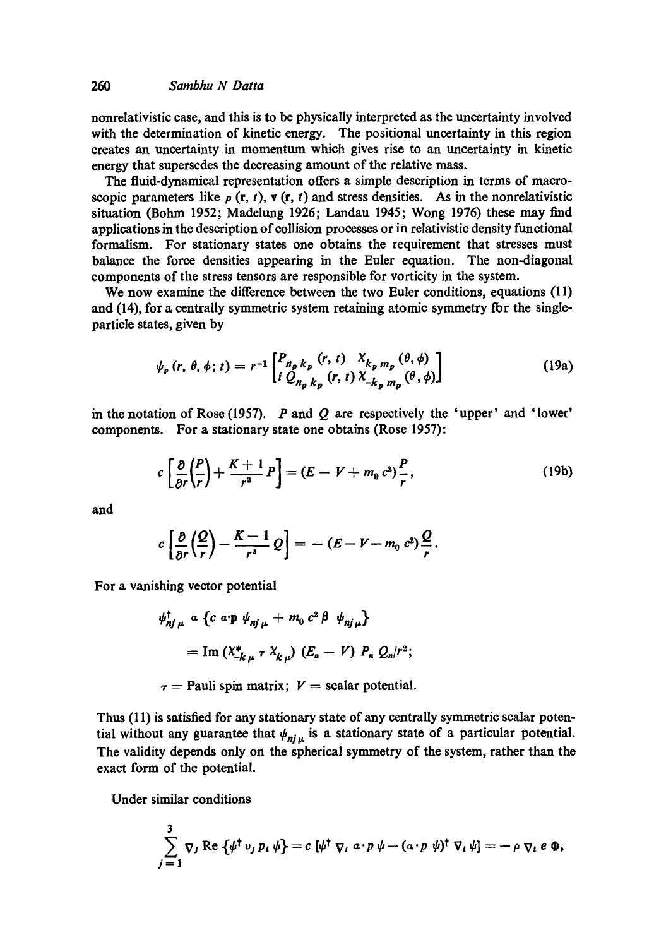nonrelativistic case, and this is to be physically interpreted as the uncertainty involved with the determination of kinetic energy. The positional uncertainty in this region creates an uncertainty in momentum which gives rise to an uncertainty in kinetic energy that supersedes the decreasing amount of the relative mass.

The fluid-dynamical representation offers a simple description in terms of macroscopic parameters like  $\rho$  (r, t), v (r, t) and stress densities. As in the nonrelativistic situation (Bohm 1952; Madelung 1926; Landau 1945; Wong 1976) these may find applications in the description of collision processes or in relativistic density functional formalism. For stationary states one obtains the requirement that stresses must balance the force densities appearing in the Euler equation. The non-diagonal components of the stress tensors are responsible for vorticity in the system.

We now examine the difference between the two Euler conditions, equations (11) and  $(14)$ , for a centrally symmetric system retaining atomic symmetry for the singleparticle states, given by

$$
\psi_{p}(r, \theta, \phi; t) = r^{-1} \begin{bmatrix} P_{n_{p} k_{p}}(r, t) & X_{k_{p} m_{p}}(\theta, \phi) \\ i Q_{n_{p} k_{p}}(r, t) X_{-k_{p} m_{p}}(\theta, \phi) \end{bmatrix}
$$
(19a)

in the notation of Rose (1957).  $P$  and  $Q$  are respectively the 'upper' and 'lower' components. For a stationary state one obtains (Rose 1957):

$$
c\left[\frac{\partial}{\partial r}\left(\frac{P}{r}\right)+\frac{K+1}{r^2}P\right]=(E-V+m_0 c^2)\frac{P}{r},\qquad(19b)
$$

**and** 

$$
c\left[\frac{\partial}{\partial r}\left(\frac{Q}{r}\right)-\frac{K-1}{r^2}Q\right]=-(E-V-m_0 c^2)\frac{Q}{r}.
$$

For a vanishing vector potential

$$
\psi_{nj\,\mu}^{\dagger} \ a \ \left\{ c \ a \cdot \mathbf{p} \ \psi_{nj\,\mu} + m_0 \ c^2 \ \beta \ \psi_{nj\,\mu} \right\}
$$
\n
$$
= \text{Im} \left( X_{-k\,\mu}^* \ \tau \ X_{k\,\mu} \right) \ (E_n - V) \ P_n \ Q_n/r^2;
$$

 $\tau$  = Pauli spin matrix;  $V$  = scalar potential.

Thus (11) is satisfied for any stationary state of any centrally symmetric scalar potential without any guarantee that  $\psi_{ni}$  is a stationary state of a particular potential. The validity depends only on the spherical symmetry of the system, rather than the exact form of the potential.

Under similar conditions

$$
\sum_{j=1}^3 \nabla_j \operatorname{Re} \left\{ \psi^{\dagger} v_j p_i \psi \right\} = c \left[ \psi^{\dagger} \nabla_i a \cdot p \psi - (a \cdot p \psi)^{\dagger} \nabla_i \psi \right] = - \rho \nabla_i e \Phi,
$$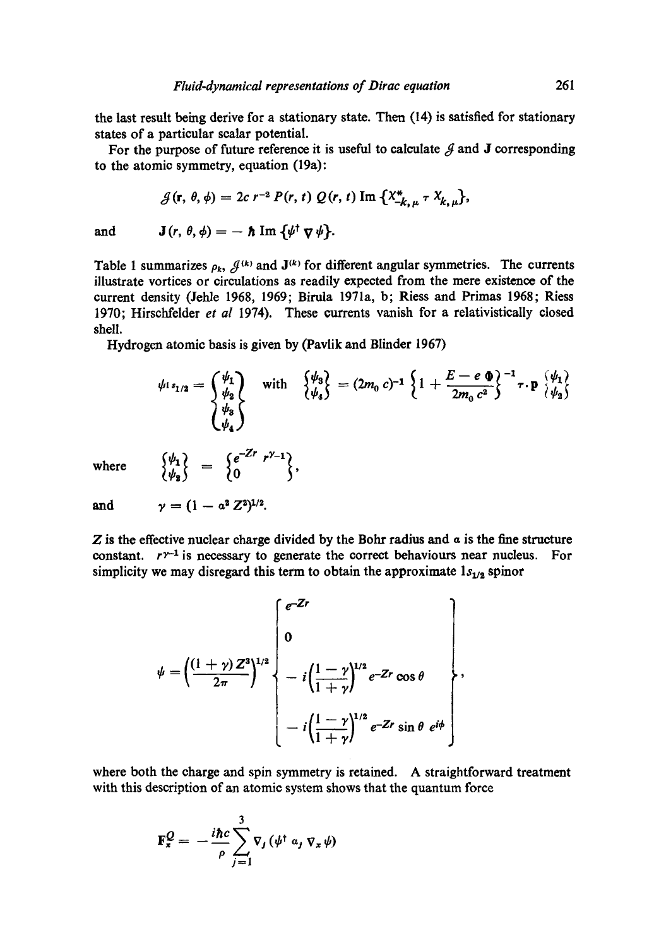the last result being derive for a stationary state. Then (14) is satisfied for stationary states of a particular scalar potential.

For the purpose of future reference it is useful to calculate  $\beta$  and J corresponding to the atomic symmetry, equation (19a):

$$
\mathcal{J}(\mathbf{r},\theta,\phi)=2c\;r^{-2}\;P(r,t)\;Q(r,t)\;\mathrm{Im}\;\{X_{-k,u}^*\;\tau\;X_{k,u}\},
$$

and  $J(r, \theta, \phi) = -\hbar \operatorname{Im} {\{\psi^{\dagger} \nabla \psi\}}.$ 

Table 1 summarizes  $\rho_k$ ,  $\mathcal{J}^{(k)}$  and  $\mathbf{J}^{(k)}$  for different angular symmetries. The currents illustrate vortices or circulations as readily expected from the mere existence of the current density (Jehle 1968, 1969; Birula 1971a, b; Riess and Primas 1968; Riess 1970; Hirschfelder *et al* I974). These currents vanish for a relativistically closed shell.

Hydrogen atomic basis is given by (Pavlik and Blinder 1967)

$$
\psi_{1s_{1/2}} = \begin{cases} \psi_1 \\ \psi_2 \\ \psi_3 \\ \psi_4 \end{cases} \quad \text{with} \quad \begin{cases} \psi_3 \\ \psi_4 \end{cases} = (2m_0 c)^{-1} \left\{ 1 + \frac{E - e \Phi}{2m_0 c^2} \right\}^{-1} \tau \cdot \mathbf{P} \begin{cases} \psi_1 \\ \psi_2 \end{cases}
$$

where

$$
\begin{Bmatrix} \psi_1 \\ \psi_2 \end{Bmatrix} = \begin{Bmatrix} e^{-Zr} r^{\gamma-1} \\ 0 \end{Bmatrix}
$$

and 
$$
\gamma = (1 - a^2 Z^2)^{1/2}
$$
.

 $Z$  is the effective nuclear charge divided by the Bohr radius and  $\alpha$  is the fine structure constant,  $r^{y-1}$  is necessary to generate the correct behaviours near nucleus. For simplicity we may disregard this term to obtain the approximate  $1s_{1/2}$  spinor

$$
\psi = \left(\frac{(1+\gamma) Z^3}{2\pi}\right)^{1/2} \left\{\begin{array}{l} e^{-Zr} \\ 0 \\ -i\left(\frac{1-\gamma}{1+\gamma}\right)^{1/2} e^{-Zr} \cos\theta \\ -i\left(\frac{1-\gamma}{1+\gamma}\right)^{1/2} e^{-Zr} \sin\theta \ e^{i\phi} \end{array}\right\},
$$

where both the charge and spin symmetry is retained. A straightforward treatment with this description of an atomic system shows that the quantum force

$$
\mathbf{F}_{x}^{Q} = -\frac{i\hbar c}{\rho} \sum_{j=1}^{3} \nabla_{j} (\psi^{\dagger} a_{j} \nabla_{x} \psi)
$$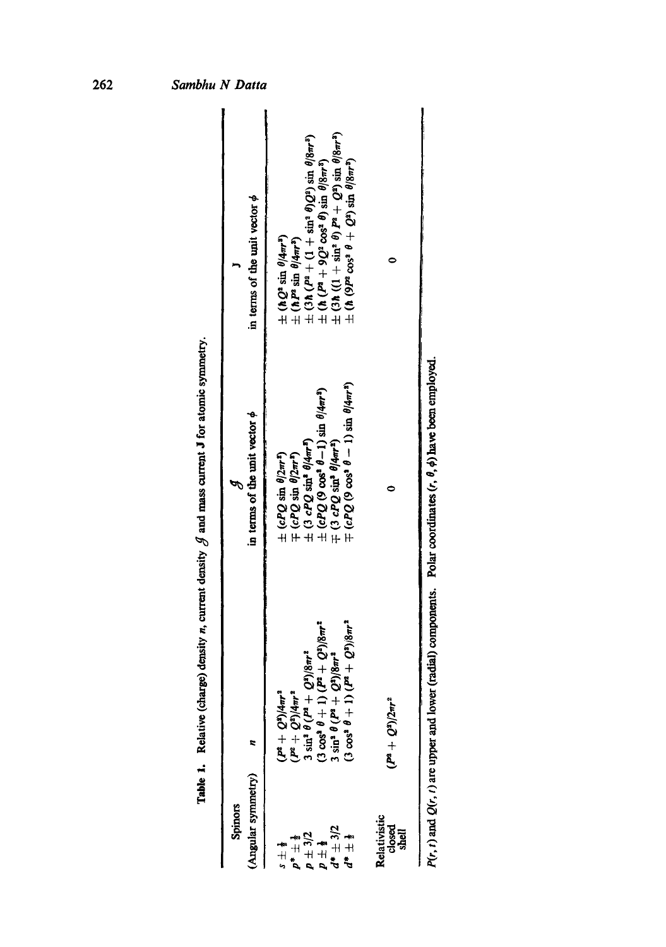|                                                                                                            |                                                                                                                                                                                                                                                                  | Table 1. Relative (charge) density <i>n</i> , current density $\beta$ and mass current J for atomic symmetry.                                                                                                                                                                                                                                                                      |                                                                                                                                                                                                                                                                                                                                                                                                                                                                                |
|------------------------------------------------------------------------------------------------------------|------------------------------------------------------------------------------------------------------------------------------------------------------------------------------------------------------------------------------------------------------------------|------------------------------------------------------------------------------------------------------------------------------------------------------------------------------------------------------------------------------------------------------------------------------------------------------------------------------------------------------------------------------------|--------------------------------------------------------------------------------------------------------------------------------------------------------------------------------------------------------------------------------------------------------------------------------------------------------------------------------------------------------------------------------------------------------------------------------------------------------------------------------|
| (Angular symmetry)<br>Spinors                                                                              |                                                                                                                                                                                                                                                                  | in terms of the unit vector $\phi$                                                                                                                                                                                                                                                                                                                                                 | in terms of the unit vector $\phi$                                                                                                                                                                                                                                                                                                                                                                                                                                             |
| $d^* \pm 3/2$<br>$p \pm 3/2$<br>$\frac{1}{2}$<br>$d^* \pm \frac{1}{2}$<br>$p^* \pm \frac{1}{2}$<br>ا†<br>∺ | $1) (P^3 + Q^3) / 8\pi r^3$<br>$(1) (P^2 + Q^2) / 8\pi r^2$<br>$(P^2 + Q^2)/4\pi r^2$<br>3 sin <sup>4</sup> $\theta$ ( $P^4 + Q^2)/8\pi r^2$<br>$3 \sin^3 \theta (P^2 + Q^3) / 8\pi r^3$<br>$(P^2+Q^3)/4\pi r^3$<br>$(3 \cos^2 \theta +$<br>$(3 \cos^2 \theta +$ | $\mp$ (cPQ (9 cos <sup>2</sup> $\theta$ - 1) sin $\theta$ /4m <sup>2</sup> )<br>$\pm$ (cPQ (9 cos <sup>2</sup> $\theta$ -1) sin $\theta$ /4 <i>m</i> <sup>2</sup> )<br>$\mp$ (3 cPQ sin <sup>3</sup> $\theta$ /4m <sup>2</sup> )<br>$\pm$ (3 cPQ sin <sup>8</sup> $\theta$ /4m <sup>5</sup> )<br>$\pm$ (cPQ sin $\theta/2\pi r^2$ )<br>$\mp$ (cPQ sin $\theta$ /2m <sup>,n</sup> ) | $\pm$ (h ( $P^4$ + 9 $Q^2$ cos <sup>2</sup> $\theta$ ) sin $\theta$ [ $8m^3$ )<br>$\pm$ (3h ((1 + sin <sup>2</sup> $\theta$ ) $P^2$ + $Q^3$ ) sin $\theta$ [ $8m^3$ )<br>$\pm$ (h (9 $P^2$ cos <sup>2</sup> $\theta$ + $Q^2$ ) sin $\theta$ [ $8m^3$ )<br>$\pm$ (3 <i>h</i> ( $P^2$ + (1 + sin <sup>3</sup> $\theta$ ) $Q^2$ ) sin $\theta$ /8 $\pi r^3$ )<br>$\pm$ (hQ <sup>2</sup> sin $\theta$ /4m <sup>3</sup> )<br>$\pm$ (hP <sup>2</sup> sin $\theta$ /4m <sup>3</sup> ) |
| Relativistic<br>closed<br>shell                                                                            | $(P^a+Q^a)/2\pi r^a$                                                                                                                                                                                                                                             |                                                                                                                                                                                                                                                                                                                                                                                    |                                                                                                                                                                                                                                                                                                                                                                                                                                                                                |
|                                                                                                            |                                                                                                                                                                                                                                                                  | $P(r, t)$ and $Q(r, t)$ are upper and lower (radial) components. Polar coordinates $(r, \theta, \phi)$ have been employed.                                                                                                                                                                                                                                                         |                                                                                                                                                                                                                                                                                                                                                                                                                                                                                |

| <b>Section</b>         |
|------------------------|
|                        |
| <br> <br>              |
| $\frac{1}{2}$          |
| $-20 - 20$<br>$\vdots$ |
|                        |
|                        |
|                        |
|                        |
| I                      |
|                        |
| ;<br>⊾                 |
| ì                      |

 $262$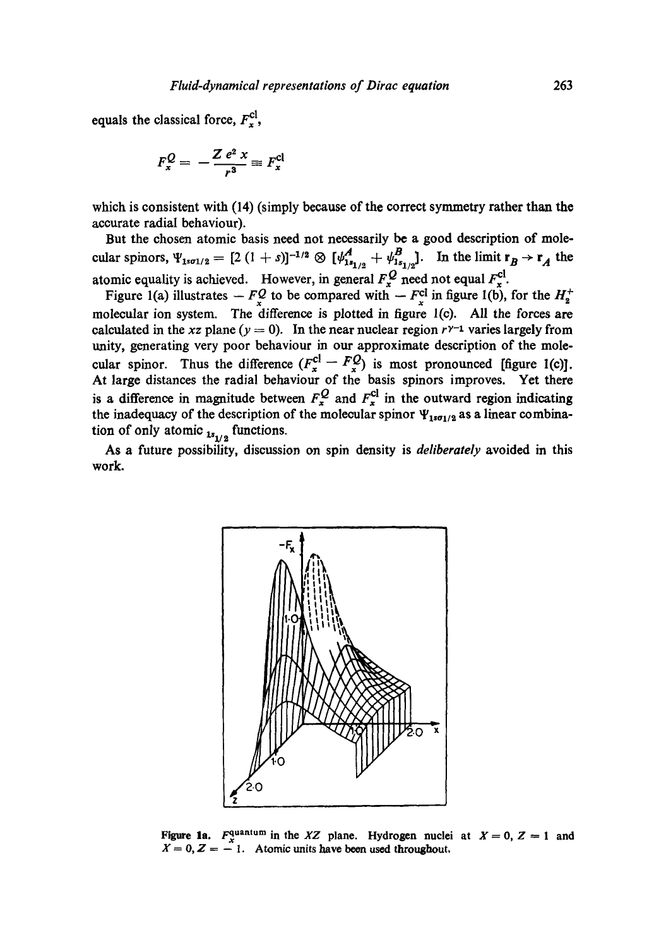equals the classical force,  $F_x^{\text{cl}}$ ,

$$
F_x^Q = -\frac{Z e^2 x}{r^3} \equiv F_x^{\text{cl}}
$$

which is consistent with (14) (simply because of the correct symmetry rather than the accurate radial behaviour).

But the chosen atomic basis need not necessarily be a good description of molecular spinors,  $\Psi_{1s\sigma1/2} = [2 (1 + s)]^{-1/2} \otimes [\psi_{1s_{1/2}}^A + \psi_{1s_{1/2}}^B]$ . In the limit  $r_B \rightarrow r_A$  the atomic equality is achieved. However, in general  $F_x^{\prime\prime}$  need not equal  $F_x^{\prime\prime}$ .

Figure 1(a) illustrates  $-F_x^Q$  to be compared with  $-F_x^G$  in figure 1(b), for the  $H_2^+$ molecular ion system. The difference is plotted in figure l(c). All the forces are calculated in the *xz* plane ( $y = 0$ ). In the near nuclear region  $r^{\gamma-1}$  varies largely from unity, generating very poor behaviour in our approximate description of the molecular spinor. Thus the difference  $(F_x^{\mathcal{L}} - F_y^{\mathcal{L}})$  is most pronounced [figure 1(c)]. At large distances the radial behaviour of the basis spinors improves. Yet there is a difference in magnitude between  $F_{\rm x}^2$  and  $F_{\rm y}^2$  in the outward region indicating the inadequacy of the description of the molecular spinor  $\Psi_{1s\sigma_1/2}$  as a linear combination of only atomic  $_{1s_{1/2}}$  functions.

As a future possibility, discussion on spin density is *deliberately* avoided in this work.



**Figure 1a.**  $F_x^{\text{quantum}}$  in the *XZ* plane. Hydrogen nuclei at  $X = 0$ ,  $Z = 1$  and  $X = 0, Z = -1$ . Atomic units have been used throughout,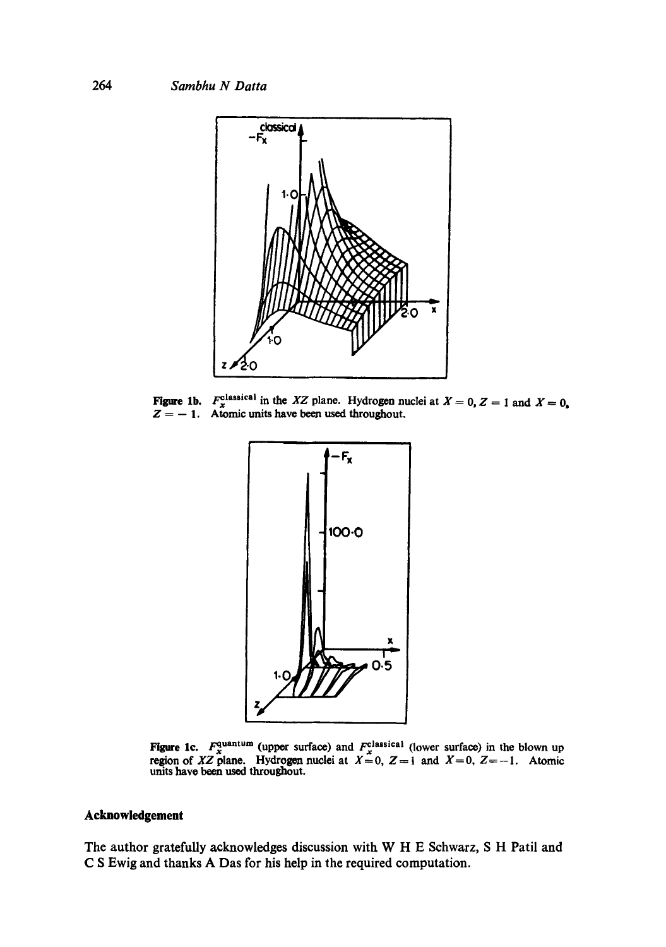

Figure **lb.**   $Z=-1$  $F_{\rm x}^{\rm classical}$  in the *XZ* plane. Hydrogen nuclei at  $X = 0$ ,  $Z = 1$  and  $X = 0$ , Atomic units have been used throughout.



Figure 1c.  $F_{\rm x}^{\rm quantum}$  (upper surface) and  $F_{\rm x}^{\rm classical}$  (lower surface) in the blown up region of *XZ* plane. Hydrogen nuclei at  $X=0$ ,  $Z=1$  and  $X=0$ ,  $Z=-1$ . Atomic units have been used throughout.

## **Acknowledgement**

The author gratefully acknowledges discussion with W H E Schwarz, S H Patil and C S Ewig and thanks A Das for his help in the required computation.